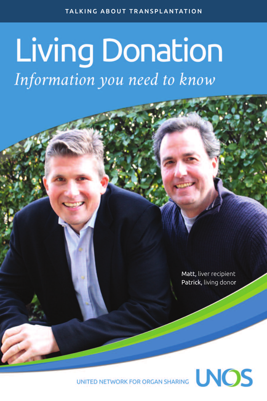# **Living Donation** Information you need to know

Matt, liver recipient Patrick, living donor

UNITED NETWORK FOR ORGAN SHARING NOS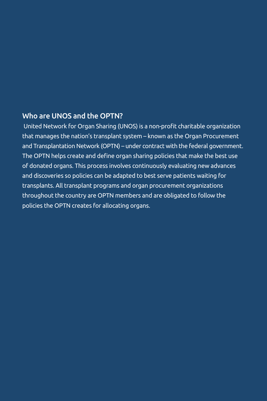#### Who are UNOS and the OPTN?

United Network for Organ Sharing (UNOS) is a non-profit charitable organization that manages the nation's transplant system – known as the Organ Procurement and Transplantation Network (OPTN) – under contract with the federal government. The OPTN helps create and define organ sharing policies that make the best use of donated organs. This process involves continuously evaluating new advances and discoveries so policies can be adapted to best serve patients waiting for transplants. All transplant programs and organ procurement organizations throughout the country are OPTN members and are obligated to follow the policies the OPTN creates for allocating organs.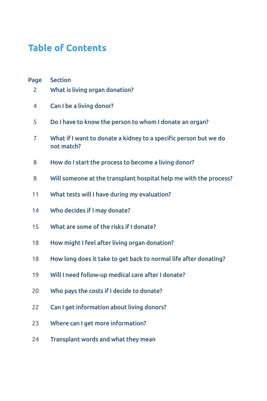# **Table of Contents**

| Page | <b>Section</b>                                                                 |
|------|--------------------------------------------------------------------------------|
| 2    | What is living organ donation?                                                 |
| 4    | Can I be a living donor?                                                       |
| 5    | Do I have to know the person to whom I donate an organ?                        |
| 7    | What if I want to donate a kidney to a specific person but we do<br>not match? |
| 8    | How do I start the process to become a living donor?                           |
| 8    | Will someone at the transplant hospital help me with the process?              |
| 11   | What tests will I have during my evaluation?                                   |
| 14   | Who decides if I may donate?                                                   |
| 15   | What are some of the risks if I donate?                                        |
| 18   | How might I feel after living organ donation?                                  |
| 18   | How long does it take to get back to normal life after donating?               |
| 19   | Will I need follow-up medical care after I donate?                             |
| 20   | Who pays the costs if I decide to donate?                                      |
| 22   | Can I get information about living donors?                                     |
| 23   | Where can I get more information?                                              |
| 24   | Transplant words and what they mean                                            |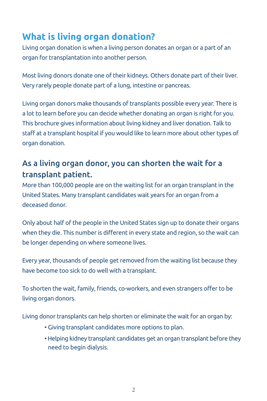# **What is living organ donation?**

Living organ donation is when a living person donates an organ or a part of an organ for transplantation into another person.

Most living donors donate one of their kidneys. Others donate part of their liver. Very rarely people donate part of a lung, intestine or pancreas.

Living organ donors make thousands of transplants possible every year. There is a lot to learn before you can decide whether donating an organ is right for you. This brochure gives information about living kidney and liver donation. Talk to staff at a transplant hospital if you would like to learn more about other types of organ donation.

### As a living organ donor, you can shorten the wait for a transplant patient.

More than 100,000 people are on the waiting list for an organ transplant in the United States. Many transplant candidates wait years for an organ from a deceased donor.

Only about half of the people in the United States sign up to donate their organs when they die. This number is different in every state and region, so the wait can be longer depending on where someone lives.

Every year, thousands of people get removed from the waiting list because they have become too sick to do well with a transplant.

To shorten the wait, family, friends, co-workers, and even strangers offer to be living organ donors.

Living donor transplants can help shorten or eliminate the wait for an organ by:

- Giving transplant candidates more options to plan.
- •Helping kidney transplant candidates get an organ transplant before they need to begin dialysis.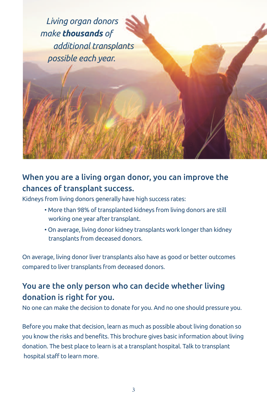

## When you are a living organ donor, you can improve the chances of transplant success.

Kidneys from living donors generally have high success rates:

- More than 98% of transplanted kidneys from living donors are still working one year after transplant.
- On average, living donor kidney transplants work longer than kidney transplants from deceased donors.

On average, living donor liver transplants also have as good or better outcomes compared to liver transplants from deceased donors.

### You are the only person who can decide whether living donation is right for you.

No one can make the decision to donate for you. And no one should pressure you.

Before you make that decision, learn as much as possible about living donation so you know the risks and benefits. This brochure gives basic information about living donation. The best place to learn is at a transplant hospital. Talk to transplant hospital staff to learn more.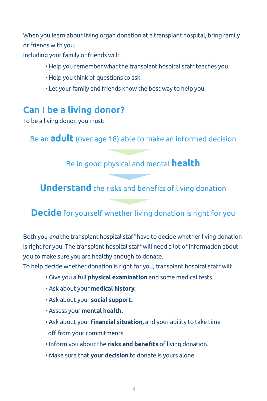When you learn about living organ donation at a transplant hospital, bring family or friends with you.

Including your family or friends will:

- Help you remember what the transplant hospital staff teaches you.
- Help you think of questions to ask.
- Let your family and friends know the best way to help you.

# **Can I be a living donor?**

To be a living donor, you must:

Be an **adult** (over age 18) able to make an informed decision

#### Be in good physical and mental **health**

**Understand** the risks and benefits of living donation

## **Decide** for yourself whether living donation is right for you

Both you *and* the transplant hospital staff have to decide whether living donation is right for you. The transplant hospital staff will need a lot of information about you to make sure you are healthy enough to donate.

To help decide whether donation is right for you, transplant hospital staff will:

- Give you a full **physical examination** and some medical tests.
- Ask about your **medical history.**
- Ask about your **social support.**
- Assess your **mental health.**
- Ask about your **financial situation,** and your ability to take time off from your commitments.
- Inform you about the **risks and benefits** of living donation.
- Make sure that **your decision** to donate is yours alone.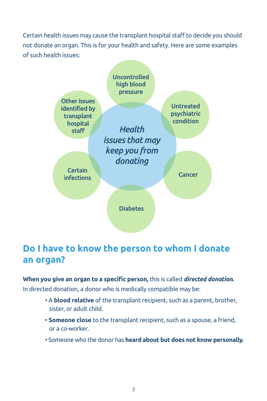Certain health issues may cause the transplant hospital staff to decide you should not donate an organ. This is for your health and safety. Here are some examples of such health issues:



## **Do I have to know the person to whom I donate an organ?**

**When you give an organ to a specific person,** this is called *directed donation***.** In directed donation, a donor who is medically compatible may be:

- A **blood relative** of the transplant recipient, such as a parent, brother, sister, or adult child.
- **Someone close** to the transplant recipient, such as a spouse, a friend, or a co-worker.
- Someone who the donor has **heard about but does not know personally.**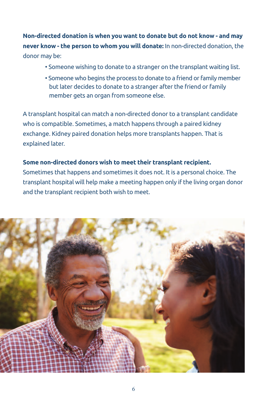**Non-directed donation is when you want to donate but do not know - and may never know - the person to whom you will donate:** In non-directed donation, the donor may be:

- Someone wishing to donate to a stranger on the transplant waiting list.
- Someone who begins the process to donate to a friend or family member but later decides to donate to a stranger after the friend or family member gets an organ from someone else.

A transplant hospital can match a non-directed donor to a transplant candidate who is compatible. Sometimes, a match happens through a paired kidney exchange. Kidney paired donation helps more transplants happen. That is explained later.

#### **Some non-directed donors wish to meet their transplant recipient.**

Sometimes that happens and sometimes it does not. It is a personal choice. The transplant hospital will help make a meeting happen only if the living organ donor and the transplant recipient both wish to meet.

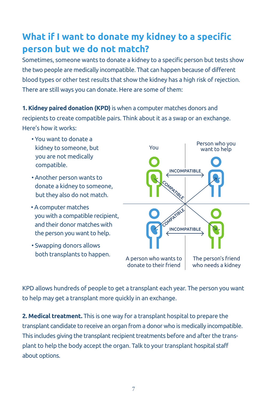# **What if I want to donate my kidney to a specific person but we do not match?**

Sometimes, someone wants to donate a kidney to a specific person but tests show the two people are medically incompatible. That can happen because of different blood types or other test results that show the kidney has a high risk of rejection. There are still ways you can donate. Here are some of them:

**1. Kidney paired donation (KPD)**is when a computer matches donors and recipients to create compatible pairs. Think about it as a swap or an exchange. Here's how it works:

- You want to donate a kidney to someone, but you are not medically compatible.
- Another person wants to donate a kidney to someone, but they also do not match.
- A computer matches you with a compatible recipient, and their donor matches with the person you want to help.
- Swapping donors allows both transplants to happen.



KPD allows hundreds of people to get a transplant each year. The person you want to help may get a transplant more quickly in an exchange.

**2. Medical treatment.** This is one way for a transplant hospital to prepare the transplant candidate to receive an organ from a donor who is medically incompatible. This includes giving the transplant recipient treatments before and after the transplant to help the body accept the organ. Talk to your transplant hospital staff about options.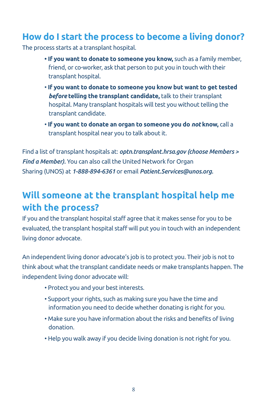## **How do I start the process to become a living donor?**

The process starts at a transplant hospital.

- **• If you want to donate to someone you know,** such as a family member, friend, or co-worker, ask that person to put you in touch with their transplant hospital.
- **If you want to donate to someone you know but want to get tested** *before* **telling the transplant candidate,** talk to their transplant hospital. Many transplant hospitals will test you without telling the transplant candidate.
- **If you want to donate an organ to someone you do** *not* **know,** call a transplant hospital near you to talk about it.

Find a list of transplant hospitals at: *optn.transplant.hrsa.gov (choose Members > Find a Member).* You can also call the United Network for Organ Sharing (UNOS) at *1-888-894-6361* or email *Patient.Services@unos.org.*

# **Will someone at the transplant hospital help me with the process?**

If you and the transplant hospital staff agree that it makes sense for you to be evaluated, the transplant hospital staff will put you in touch with an independent living donor advocate.

An independent living donor advocate's job is to protect you. Their job is not to think about what the transplant candidate needs or make transplants happen. The independent living donor advocate will:

- Protect you and your best interests.
- Support your rights, such as making sure you have the time and information you need to decide whether donating is right for you.
- Make sure you have information about the risks and benefits of living donation.
- Help you walk away if you decide living donation is not right for you.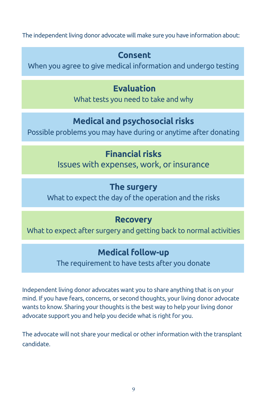The independent living donor advocate will make sure you have information about:

## **Consent**

When you agree to give medical information and undergo testing

## **Evaluation**

What tests you need to take and why

## **Medical and psychosocial risks**

Possible problems you may have during or anytime after donating

## **Financial risks**

Issues with expenses, work, or insurance

## **The surgery**

What to expect the day of the operation and the risks

## **Recovery**

What to expect after surgery and getting back to normal activities

## **Medical follow-up**

The requirement to have tests after you donate

Independent living donor advocates want you to share anything that is on your mind. If you have fears, concerns, or second thoughts, your living donor advocate wants to know. Sharing your thoughts is the best way to help your living donor advocate support you and help you decide what is right for you.

The advocate will not share your medical or other information with the transplant candidate.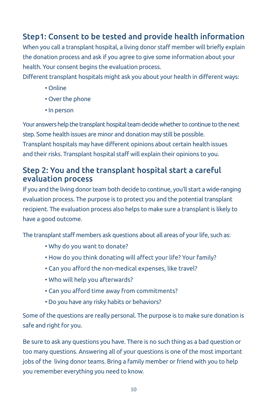### Step1: Consent to be tested and provide health information

When you call a transplant hospital, a living donor staff member will briefly explain the donation process and ask if you agree to give some information about your health. Your consent begins the evaluation process.

Different transplant hospitals might ask you about your health in different ways:

- Online
- Over the phone
- In person

Your answers help the transplant hospital team decide whether to continue to the next step. Some health issues are minor and donation may still be possible. Transplant hospitals may have different opinions about certain health issues and their risks. Transplant hospital staff will explain their opinions to you.

#### Step 2: You and the transplant hospital start a careful evaluation process

If you and the living donor team both decide to continue, you'll start a wide-ranging evaluation process. The purpose is to protect you and the potential transplant recipient. The evaluation process also helps to make sure a transplant is likely to have a good outcome.

The transplant staff members ask questions about all areas of your life, such as:

- Why do you want to donate?
- How do you think donating will affect your life? Your family?
- Can you afford the non-medical expenses, like travel?
- Who will help you afterwards?
- Can you afford time away from commitments?
- Do you have any risky habits or behaviors?

Some of the questions are really personal. The purpose is to make sure donation is safe and right for you.

Be sure to ask any questions you have. There is no such thing as a bad question or too many questions. Answering all of your questions is one of the most important jobs of the living donor teams. Bring a family member or friend with you to help you remember everything you need to know.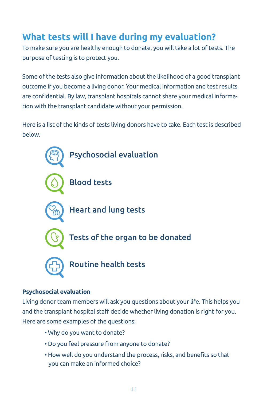# **What tests will I have during my evaluation?**

To make sure you are healthy enough to donate, you will take a lot of tests. The purpose of testing is to protect you.

Some of the tests also give information about the likelihood of a good transplant outcome if you become a living donor. Your medical information and test results are confidential. By law, transplant hospitals cannot share your medical information with the transplant candidate without your permission.

Here is a list of the kinds of tests living donors have to take. Each test is described below.



#### **Psychosocial evaluation**

Living donor team members will ask you questions about your life. This helps you and the transplant hospital staff decide whether living donation is right for you. Here are some examples of the questions:

- Why do you want to donate?
- Do you feel pressure from anyone to donate?
- How well do you understand the process, risks, and benefits so that you can make an informed choice?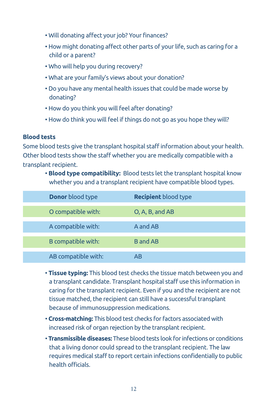- Will donating affect your job? Your finances?
- How might donating affect other parts of your life, such as caring for a child or a parent?
- Who will help you during recovery?
- What are your family's views about your donation?
- Do you have any mental health issues that could be made worse by donating?
- How do you think you will feel after donating?
- How do think you will feel if things do not go as you hope they will?

#### **Blood tests**

Some blood tests give the transplant hospital staff information about your health. Other blood tests show the staff whether you are medically compatible with a transplant recipient.

• **Blood type compatibility:** Blood tests let the transplant hospital know whether you and a transplant recipient have compatible blood types.

| <b>Donor</b> blood type | <b>Recipient</b> blood type |
|-------------------------|-----------------------------|
| O compatible with:      | O, A, B, and AB             |
| A compatible with:      | A and AB                    |
| B compatible with:      | <b>B</b> and AB             |
| AB compatible with:     | AB                          |

- **Tissue typing:** This blood test checks the tissue match between you and a transplant candidate. Transplant hospital staff use this information in caring for the transplant recipient. Even if you and the recipient are not tissue matched, the recipient can still have a successful transplant because of immunosuppression medications.
- **Cross-matching:** This blood test checks for factors associated with increased risk of organ rejection by the transplant recipient.
- **Transmissible diseases:** These blood tests look forinfections or conditions that a living donor could spread to the transplant recipient. The law requires medical staff to report certain infections confidentially to public health officials.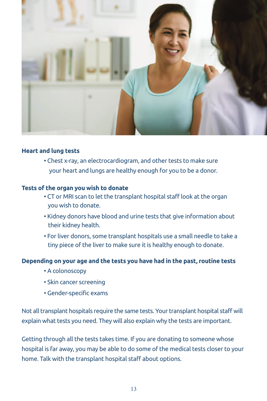

#### **Heart and lung tests**

• Chest x-ray, an electrocardiogram, and other tests to make sure your heart and lungs are healthy enough for you to be a donor.

#### **Tests of the organ you wish to donate**

- CT or MRI scan to let the transplant hospital staff look at the organ you wish to donate.
- Kidney donors have blood and urine tests that give information about their kidney health.
- For liver donors, some transplant hospitals use a small needle to take a tiny piece of the liver to make sure it is healthy enough to donate.

#### **Depending on your age and the tests you have had in the past, routine tests**

- A colonoscopy
- Skin cancer screening
- Gender-specific exams

Not all transplant hospitals require the same tests. Your transplant hospital staff will explain what tests you need. They will also explain why the tests are important.

Getting through all the tests takes time. If you are donating to someone whose hospital is far away, you may be able to do some of the medical tests closer to your home. Talk with the transplant hospital staff about options.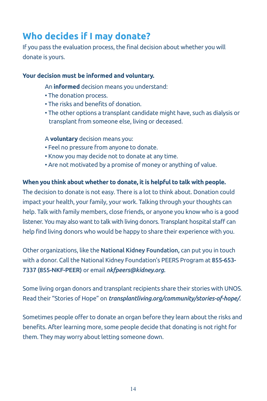# **Who decides if I may donate?**

If you pass the evaluation process, the final decision about whether you will donate is yours.

#### **Your decision must be informed and voluntary.**

An **informed** decision means you understand:

- The donation process.
- The risks and benefits of donation.
- The other options a transplant candidate might have, such as dialysis or transplant from someone else, living or deceased.

#### A **voluntary** decision means you:

- Feel no pressure from anyone to donate.
- Know you may decide not to donate at any time.
- Are not motivated by a promise of money or anything of value.

#### **When you think about whether to donate, it is helpful to talk with people.**

The decision to donate is not easy. There is a lot to think about. Donation could impact your health, your family, your work. Talking through your thoughts can help. Talk with family members, close friends, or anyone you know who is a good listener. You may also want to talk with living donors. Transplant hospital staff can help find living donors who would be happy to share their experience with you.

Other organizations, like the National Kidney Foundation, can put you in touch with a donor. Call the National Kidney Foundation's PEERS Program at 855-653- 7337 (855-NKF-PEER) or email *nkfpeers@kidney.org.*

Some living organ donors and transplant recipients share their stories with UNOS. Read their "Stories of Hope" on *transplantliving.org/community/stories-of-hope/.*

Sometimes people offer to donate an organ before they learn about the risks and benefits. After learning more, some people decide that donating is not right for them. They may worry about letting someone down.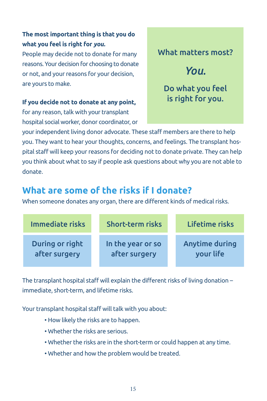#### **The most important thing is that you do what you feel is right for** *you.*

People may decide not to donate for many reasons. Your decision for choosing to donate or not, and your reasons for your decision, are yours to make.

#### **If you decide not to donate at any point,**

for any reason, talk with your transplant hospital social worker, donor coordinator, or What matters most?

# *You.*

Do what you feel is right for you.

yourindependent living donor advocate. These staff members are there to help you. They want to hear your thoughts, concerns, and feelings. The transplant hospital staff will keep your reasons for deciding not to donate private. They can help you think about what to say if people ask questions about why you are not able to donate.

# **What are some of the risks if I donate?**

When someone donates any organ, there are different kinds of medical risks.

| Immediate risks | <b>Short-term risks</b> | Lifetime risks |
|-----------------|-------------------------|----------------|
| During or right | In the year or so       | Anytime during |
| after surgery   | after surgery           | your life      |

The transplant hospital staff will explain the different risks of living donation – immediate, short-term, and lifetime risks.

Your transplant hospital staff will talk with you about:

- How likely the risks are to happen.
- Whether the risks are serious.
- Whether the risks are in the short-term or could happen at any time.
- Whether and how the problem would be treated.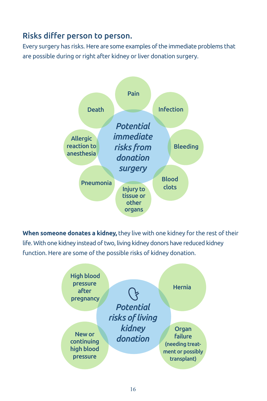#### Risks differ person to person.

Every surgery has risks. Here are some examples of the immediate problems that are possible during or right after kidney or liver donation surgery.



**When someone donates a kidney,** they live with one kidney for the rest of their life. With one kidney instead of two, living kidney donors have reduced kidney function. Here are some of the possible risks of kidney donation.

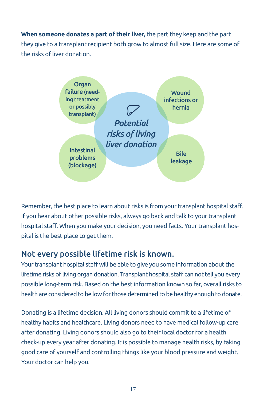**When someone donates a part of their liver,** the part they keep and the part they give to a transplant recipient both grow to almost full size. Here are some of the risks of liver donation.



Remember, the best place to learn about risks is from your transplant hospital staff. If you hear about other possible risks, always go back and talk to your transplant hospital staff. When you make your decision, you need facts. Your transplant hospital is the best place to get them.

#### Not every possible lifetime risk is known.

Your transplant hospital staff will be able to give you some information about the lifetime risks ofliving organ donation. Transplant hospital staff can not tell you every possible long-term risk. Based on the best information known so far, overallrisks to health are considered to be lowfor those determined to be healthy enough to donate.

Donating is a lifetime decision. All living donors should commit to a lifetime of healthy habits and healthcare. Living donors need to have medical follow-up care after donating. Living donors should also go to their local doctor for a health check-up every year after donating. It is possible to manage health risks, by taking good care of yourself and controlling things like your blood pressure and weight. Your doctor can help you.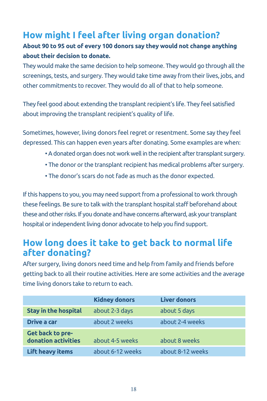## **How might I feel after living organ donation?**

#### **About 90 to 95 out of every 100 donors say they would not change anything about their decision to donate.**

They would make the same decision to help someone. They would go through all the screenings, tests, and surgery. They would take time away from their lives, jobs, and other commitments to recover. They would do all of that to help someone.

They feel good about extending the transplant recipient's life. They feel satisfied about improving the transplant recipient's quality of life.

Sometimes, however, living donors feel regret or resentment. Some say they feel depressed. This can happen even years after donating. Some examples are when:

- •Adonated organ does notworkwell in the recipient after transplant surgery.
- The donor or the transplant recipient has medical problems after surgery.
- The donor's scars do not fade as much as the donor expected.

If this happens to you, you may need support from a professional to work through these feelings. Be sure to talk with the transplant hospital staff beforehand about these and other risks. If you donate and have concerns afterward, ask your transplant hospital or independent living donor advocate to help you find support.

### **How long does it take to get back to normal life after donating?**

After surgery, living donors need time and help from family and friends before getting back to all their routine activities. Here are some activities and the average time living donors take to return to each.

|                                         | <b>Kidney donors</b> | <b>Liver donors</b> |
|-----------------------------------------|----------------------|---------------------|
| <b>Stay in the hospital</b>             | about 2-3 days       | about 5 days        |
| Drive a car                             | about 2 weeks        | about 2-4 weeks     |
| Get back to pre-<br>donation activities | about 4-5 weeks      | about 8 weeks       |
| <b>Lift heavy items</b>                 | about 6-12 weeks     | about 8-12 weeks    |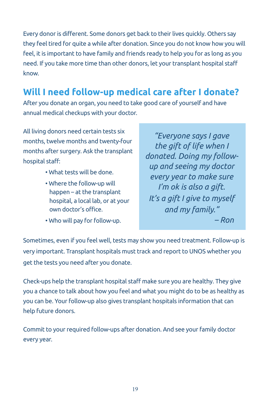Every donor is different. Some donors get back to their lives quickly. Others say they feel tired for quite a while after donation. Since you do not know how you will feel, it is important to have family and friends ready to help you for as long as you need. If you take more time than other donors, let your transplant hospital staff know.

# **Will I need follow-up medical care after I donate?**

After you donate an organ, you need to take good care of yourself and have annual medical checkups with your doctor.

All living donors need certain tests six months, twelve months and twenty-four months after surgery. Ask the transplant hospital staff:

- What tests will be done.
- Where the follow-up will happen – at the transplant hospital, a local lab, or at your own doctor's office.
- Who will pay for follow-up.

*"Everyone says I gave the gift of life when I donated. Doing my followup and seeing my doctor every year to make sure I'm ok is also a gift. It's a gift I give to myself and my family." – Ron*

Sometimes, even if you feel well, tests may show you need treatment. Follow-up is very important. Transplant hospitals must track and report to UNOS whether you get the tests you need after you donate.

Check-ups help the transplant hospital staff make sure you are healthy. They give you a chance to talk about how you feel and what you might do to be as healthy as you can be. Your follow-up also gives transplant hospitals information that can help future donors.

Commit to your required follow-ups after donation. And see your family doctor every year.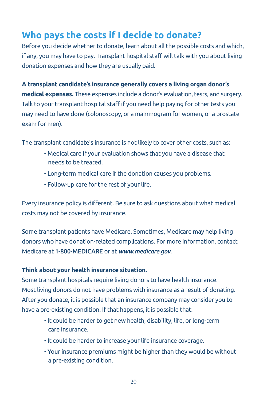# **Who pays the costs if I decide to donate?**

Before you decide whether to donate, learn about all the possible costs and which, if any, you may have to pay. Transplant hospital staff will talk with you about living donation expenses and how they are usually paid.

**A transplant candidate's insurance generally covers a living organ donor's medical expenses.** These expenses include a donor's evaluation, tests, and surgery. Talk to your transplant hospital staff if you need help paying for other tests you may need to have done (colonoscopy, or a mammogram for women, or a prostate exam for men).

The transplant candidate's insurance is not likely to cover other costs, such as:

- Medical care if your evaluation shows that you have a disease that needs to be treated.
- Long-term medical care if the donation causes you problems.
- Follow-up care for the rest of your life.

Every insurance policy is different. Be sure to ask questions about what medical costs may not be covered by insurance.

Some transplant patients have Medicare. Sometimes, Medicare may help living donors who have donation-related complications. For more information, contact Medicare at 1-800-MEDICARE or at *www.medicare.gov.*

#### **Think about your health insurance situation.**

Some transplant hospitals require living donors to have health insurance. Most living donors do not have problems with insurance as a result of donating. After you donate, it is possible that an insurance company may consider you to have a pre-existing condition. If that happens, it is possible that:

- It could be harder to get new health, disability, life, or long-term care insurance.
- It could be harder to increase your life insurance coverage.
- Your insurance premiums might be higher than they would be without a pre-existing condition.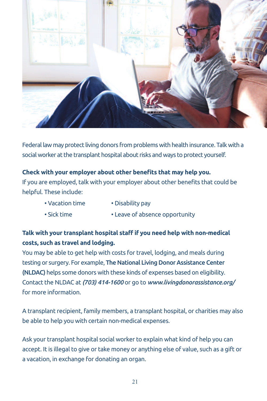

Federal law may protect living donors from problemswith health insurance. Talkwith a social worker at the transplant hospital about risks and ways to protect yourself.

#### **Check with your employer about other benefits that may help you.**

If you are employed, talk with your employer about other benefits that could be helpful. These include:

- Vacation time Disability pay
	-
- Sick time Leave of absence opportunity

#### **Talk with your transplant hospital staff if you need help with non-medical costs, such as travel and lodging.**

You may be able to get help with costs for travel, lodging, and meals during testing or surgery. For example, The National Living Donor Assistance Center (NLDAC) helps some donors with these kinds of expenses based on eligibility. Contact the NLDAC at *(703) 414-1600* or go to *www.livingdonorassistance.org/* for more information.

A transplant recipient, family members, a transplant hospital, or charities may also be able to help you with certain non-medical expenses.

Ask your transplant hospital social worker to explain what kind of help you can accept. It is illegal to give or take money or anything else of value, such as a gift or a vacation, in exchange for donating an organ.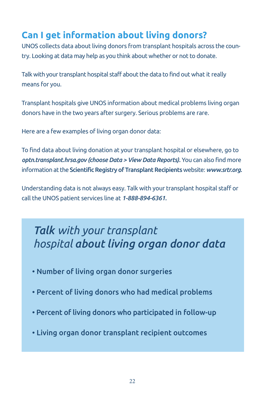# **Can I get information about living donors?**

UNOS collects data about living donors from transplant hospitals across the country. Looking at data may help as you think about whether or not to donate.

Talk with your transplant hospital staff about the data to find out what it really means for you.

Transplant hospitals give UNOS information about medical problems living organ donors have in the two years after surgery. Serious problems are rare.

Here are a few examples of living organ donor data:

To find data about living donation at your transplant hospital or elsewhere, go to *optn.transplant.hrsa.gov (choose Data > View Data Reports).* You can also find more information at the Scientific Registry of Transplant Recipients website: *www.srtr.org.* 

Understanding data is not always easy. Talk with your transplant hospital staff or call the UNOS patient services line at *1-888-894-6361.*

# *Talk with your transplant hospital about living organ donor data*

- Number of living organ donor surgeries
- Percent of living donors who had medical problems
- Percent of living donors who participated in follow-up
- Living organ donor transplant recipient outcomes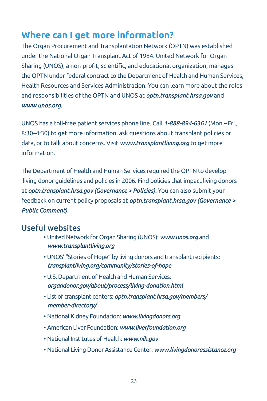## **Where can I get more information?**

The Organ Procurement and Transplantation Network (OPTN) was established under the National Organ Transplant Act of 1984. United Network for Organ Sharing (UNOS), a non-profit, scientific, and educational organization, manages the OPTN under federal contract to the Department of Health and Human Services, Health Resources and Services Administration. You can learn more about the roles and responsibilities of the OPTN and UNOS at *optn.transplant.hrsa.gov* and *www.unos.org.*

UNOS has a toll-free patient services phone line. Call *1-888-894-6361* (Mon.–Fri., 8:30–4:30) to get more information, ask questions about transplant policies or data, or to talk about concerns. Visit *www.transplantliving.org* to get more information.

The Department of Health and Human Services required the OPTN to develop living donor guidelines and policies in 2006. Find policies that impact living donors at *optn.transplant.hrsa.gov (Governance > Policies).* You can also submit your feedback on current policy proposals at *optn.transplant.hrsa.gov (Governance > Public Comment).*

#### Useful websites

- United Network for Organ Sharing (UNOS): *www.unos.org* and *www.transplantliving.org*
- UNOS' "Stories of Hope" by living donors and transplant recipients: *transplantliving.org/community/stories-of-hope*
- U.S. Department of Health and Human Services: *organdonor.gov/about/process/living-donation.html*
- List of transplant centers: *optn.transplant.hrsa.gov/members/ member-directory/*
- National Kidney Foundation: *www.livingdonors.org*
- American Liver Foundation: *www.liverfoundation.org*
- National Institutes of Health: *www.nih.gov*
- National Living Donor Assistance Center: www.livingdonorassistance.org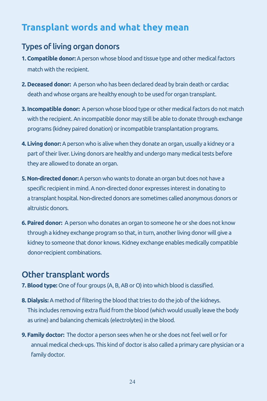# **Transplant words and what they mean**

#### Types of living organ donors

- **1. Compatible donor:** A person whose blood and tissue type and other medical factors match with the recipient.
- **2. Deceased donor:** Aperson who has been declared dead by brain death or cardiac death and whose organs are healthy enough to be used for organ transplant.
- **3. Incompatible donor:** A person whose blood type or other medical factors do not match with the recipient.An incompatible donor may still be able to donate through exchange programs (kidney paired donation) or incompatible transplantation programs.
- **4. Living donor:** Aperson who is alive when they donate an organ, usually a kidney or a part of their liver. Living donors are healthy and undergo many medical tests before they are allowed to donate an organ.
- **5. Non-directed donor:** A person who wants to donate an organ but does not have a specific recipient in mind. A non-directed donor expresses interest in donating to a transplant hospital. Non-directed donors are sometimes called anonymous donors or altruistic donors.
- **6. Paired donor:** Aperson who donates an organ to someone he or she does not know through a kidney exchange program so that, in turn, another living donor will give a kidney to someone that donor knows. Kidney exchange enables medically compatible donor-recipient combinations.

### Other transplant words

- **7. Blood type:** One of four groups (A, B, AB or O) into which blood is classified.
- **8. Dialysis:** A method of filtering the blood that tries to do the job of the kidneys. This includes removing extra fluid from the blood (which would usually leave the body as urine) and balancing chemicals (electrolytes) in the blood.
- **9. Family doctor:** The doctor a person sees when he or she does not feel well orfor annual medical check-ups. This kind of doctoris also called a primary care physician or a family doctor.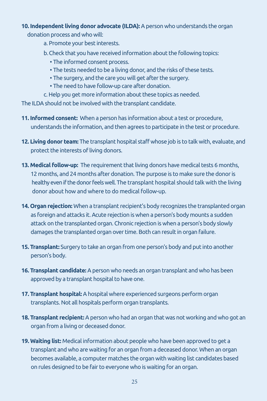#### **10. Independent living donor advocate (ILDA):** Aperson who understands the organ

donation process and who will:

- a. Promote your best interests.
- b.Check that you have received information about the following topics:
	- The informed consent process.
	- The tests needed to be a living donor, and the risks of these tests.
	- The surgery, and the care you will get after the surgery.
	- The need to have follow-up care after donation.
- c. Help you get more information about these topics as needed.

The ILDA should not be involved with the transplant candidate.

- **11. Informed consent:** When a person has information about a test or procedure, understands the information, and then agrees to participate in the test or procedure.
- **12. Living donor team:** The transplant hospital staff whose job is to talk with, evaluate, and protect the interests of living donors.
- **13. Medical follow-up:** The requirement that living donors have medical tests 6 months, 12 months, and 24 months after donation. The purpose is to make sure the donor is healthy even if the donor feels well. The transplant hospital should talk with the living donor about how and where to do medical follow-up.
- **14. Organ rejection:** When a transplant recipient's body recognizes the transplanted organ as foreign and attacks it. Acute rejection is when a person's body mounts a sudden attack on the transplanted organ. Chronic rejection is when a person's body slowly damages the transplanted organ over time. Both can result in organ failure.
- **15. Transplant:** Surgery to take an organ from one person's body and put into another person's body.
- **16. Transplant candidate:** A person who needs an organ transplant and who has been approved by a transplant hospital to have one.
- **17. Transplant hospital:** Ahospital where experienced surgeons perform organ transplants. Not all hospitals perform organ transplants.
- **18. Transplant recipient:** Aperson who had an organ that was not working and who got an organ from a living or deceased donor.
- **19. Waiting list:** Medical information about people who have been approved to get a transplant and who are waiting for an organ from a deceased donor. When an organ becomes available, a computer matches the organ with waiting list candidates based on rules designed to be fair to everyone who is waiting for an organ.